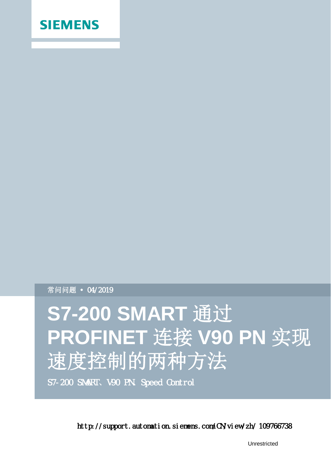

常问问题 ● 04/2019

# **S7-200 SMART** 通过 **PROFINET** 连接 **V90 PN** 实现 速度控制的两种方法

S7-200 SMART、V90 PN、Speed Control

http://support.automation.siemens.com/CN/view/zh/ 109766738

Unrestricted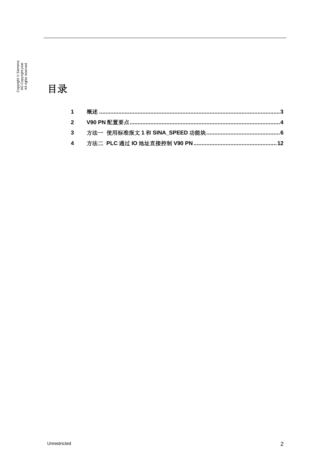Copyright © Siemens<br>AG Copyright year<br>All rights reserved

目录

#### $\mathbf{1}$  $\overline{2}$  $\overline{\mathbf{3}}$  $\overline{\mathbf{4}}$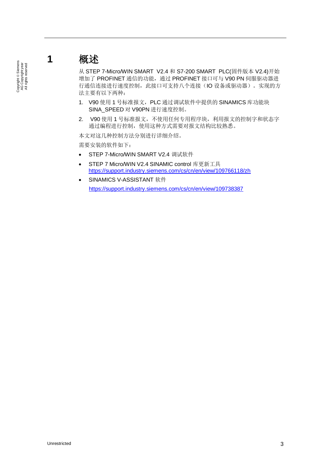#### Copyright © Siemens<br>AG Copyright year<br>All rights reserved Copyright ã Siemens AG Copyright year All rights reserved

## <span id="page-2-0"></span>**1** 概述

<span id="page-2-1"></span>从 STEP 7-Micro/WIN SMART V2.4 和 S7-200 SMART PLC(固件版本 V2.4)开始 增加了 PROFINET 通信的功能,通过 PROFINET 接口可与 V90 PN 伺服驱动器进 行通信连接进行速度控制,此接口可支持八个连接(IO 设备或驱动器)。实现的方 法主要有以下两种:

- 1. V90 使用 1 号标准报文, PLC 通过调试软件中提供的 SINAMICS 库功能块 SINA\_SPEED 对 V90PN 进行速度控制。
- 2. V90 使用 1 号标准报文, 不使用任何专用程序块, 利用报文的控制字和状态字 通过编程进行控制,使用这种方式需要对报文结构比较熟悉。

本文对这几种控制方法分别进行详细介绍。

需要安装的软件如下:

- STEP 7-Micro/WIN SMART V2.4 调试软件
- · STEP 7 Micro/WIN V2.4 SINAMIC control 库更新工具 <https://support.industry.siemens.com/cs/cn/en/view/109766118/zh>
- · SINAMICS V-ASSISTANT 软件 <https://support.industry.siemens.com/cs/cn/en/view/109738387>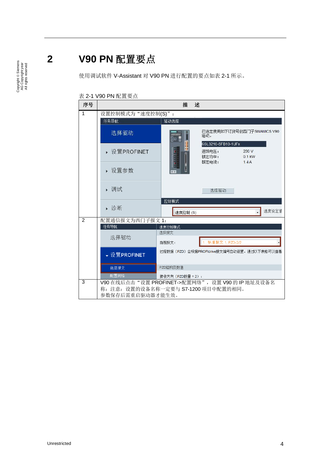Copyright © Siemens<br>AG Copyright year<br>All rights reserved Copyright ã Siemens AG Copyright year All rights reserved

### **2 V90 PN** 配置要点

<span id="page-3-0"></span>使用调试软件 V-Assistant 对 V90 PN 进行配置的要点如表 2-1 所示。

#### 表 2-1 V90 PN 配置要点

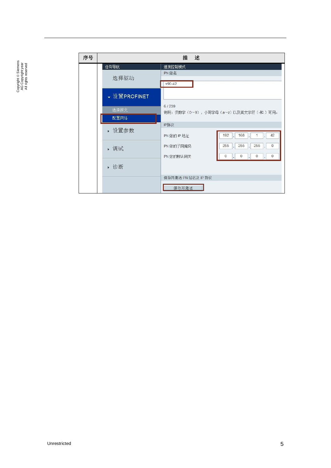| 序号 |              | 述<br>描                                                                                                                            |
|----|--------------|-----------------------------------------------------------------------------------------------------------------------------------|
|    | 任务导航<br>选择驱动 | 速度控制模式<br>PN 站名<br>$V90-42$                                                                                                       |
|    | ↓ 设置PROFINET |                                                                                                                                   |
|    | 选择报文<br>配置网络 | 6/239<br>说明: 仅数字 (0~9) ,小写字母 (a~z) 以及英文字符 (-和.) 可用。                                                                               |
|    | ▶ 设置参数       | IP协议<br>192<br>168<br>42<br>1<br>PN 站的 IP 地址                                                                                      |
|    | ▶ 调试         | 255<br>255<br>255<br>$\theta$<br>PN 站的子网掩码<br>۰.<br>ı.<br>$\mathbf 0$<br>$\overline{0}$<br>$\circ$<br>$\overline{0}$<br>PN 站的默认网关 |
|    | ▶ 诊断         |                                                                                                                                   |
|    |              | 保存并激活 PN 站名及 IP 协议<br>保存并激活                                                                                                       |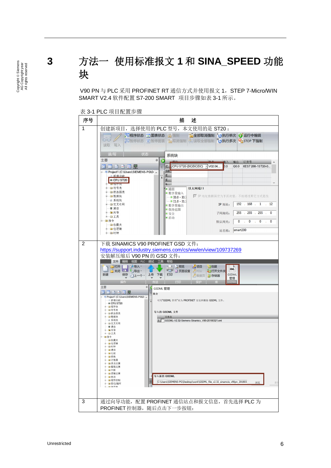<span id="page-5-0"></span>**3** 方法一 使用标准报文 **1** 和 **SINA\_SPEED** 功能 块

> V90 PN 与 PLC 采用 PROFINET RT 通信方式并使用报文 1, STEP 7-Micro/WIN SMART V2.4 软件配置 S7-200 SMART 项目步骤如表 3-1 所示。

> 表 3-1 PLC 项目配置步骤 序号 | キュー インディング おおおお 描かる 描かる おおおお 1 创建新项目,选择使用的 PLC 型号,本文使用的是 ST20 : 60 读取 写入 **| 读/写 | 状态** 系统块 主要  $\ensuremath{\mathfrak{a}}$ Ō 订货号 输出 ◎■■■■星 C. CPU ST20 (DC/DC/DC) - V02.04...  $\overline{\circ}$ Q0.0 6ES7 288-1ST20-0... ∢ **SB** P ® Project1 (C:\Users\SIEMENS-PG\D A E... 40 Hà Thiệt  $\overline{\mathbf{1}}$  $=$  CPU ST20 E... ■ 作用 チリチ E... ■ 回符号表 以太网端口 ■ 通信 ■ ■状态图表 ■数字量输入 V IP 地址数据固定为下面的值,不能通过其它方式更改 ■■数据块  $\begin{array}{|l|} \hline \text{ } & \text{I0.0 - I0.1} \\ \hline \text{ } & \text{I1.0 - I1.1} \\ \hline \end{array}$ ■ 系统块 国交叉引用 IP 地址: 192 . 168 . 1 . 12 ■ 数字量输出 ■ 通信 子网掩码: 255 . 255 . 255 . 0 + 3向导  $e$ 一口工具 回指令  $\overline{\mathbf{0}}$  $\overline{\mathbf{0}}$  $\overline{\mathbf{0}}$  $\overline{\mathbf{0}}$ 默认网关: 国收藏夹 ■ 四位逻辑 站名称: smart200 ■ 四时钟 2 | 下载 SINAMICS V90 PROFINET GSD 文件: <https://support.industry.siemens.com/cs/ww/en/view/109737269> 安装解压缩后 V90 PN 的 GSD 文件: T SHI T T T T T T T T T T T T ■ 项目 门创建  $\frac{1}{2}$ **全国打开文件** POLI 保存 51上一个 - 上传 下载 打印 新建 ■ 数据页 17分入 **GSDMI** 管理 主要  $\ensuremath{\mathfrak{p}}$ GSDML 管理 ONDER 简介 S Project1 (C:\Users\SIEMENS-PG\D 可用"GSDML 管理"来为 PROFINET 安装和删除 GSDML 文件。 →新増功能<br>- CPU ST20 ■ CFO 3 ■ ■符号表<br>■ ■状态图表 导入的 GSDML 立件  $\overline{\mathbf{X}}$  (#  $\overline{\mathbf{A}}$  GSDML-V2.32-Siemens-Sinamics\_V90-20180321.xml 导入新的 GSDML ■ 国传送 ■ 國程序控制 C:\Users\SIEMENS-PG\Desktop\work\GSDML\_file\_v2.32\_sinamcis\_v90pn\_201803. ■移位/循环 3 | 通过向导功能, 配置 PROFINET 通信站点和报文信息, 首先选择 PLC 为 PROFINET 控制器,随后点击下一步按钮:

Copyright ⊚ Siemens<br>AG Copyright year<br>All rights reserved Copyright ã Siemens AG Copyright year All rights reserved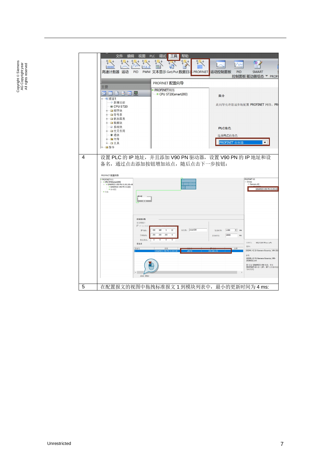

Copyright ⊚ Siemens<br>AG Copyright year<br>All rights reserved Copyright ã Siemens AG Copyright year All rights reserved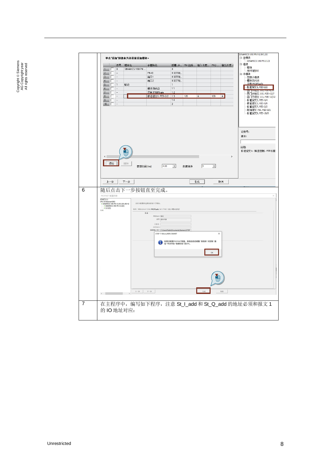| $\mathbf{1}$<br>$\overline{c}$<br>3 <sub>1</sub><br>$\overline{4}$<br>$5\overline{)}$<br>$6\overline{6}$<br>$\overline{\mathcal{L}}$<br>8<br>$\overline{9}$<br>10<br>$\left\langle \right\rangle$<br>添加<br>上一步<br>随后点击下一步按钮直至完成。<br>PROFINET 配置向导<br><b>JFINET</b> F4%<br>CPU ST20(smart200)<br>- SINAMICS V90 PN V1.0V1.00-v90-42<br>- SINAMICS V90 PN V1.0V1.00-v90-42 |
|--------------------------------------------------------------------------------------------------------------------------------------------------------------------------------------------------------------------------------------------------------------------------------------------------------------------------------------------------------------------------|
|                                                                                                                                                                                                                                                                                                                                                                          |
|                                                                                                                                                                                                                                                                                                                                                                          |
|                                                                                                                                                                                                                                                                                                                                                                          |
|                                                                                                                                                                                                                                                                                                                                                                          |
|                                                                                                                                                                                                                                                                                                                                                                          |
|                                                                                                                                                                                                                                                                                                                                                                          |
|                                                                                                                                                                                                                                                                                                                                                                          |
|                                                                                                                                                                                                                                                                                                                                                                          |
|                                                                                                                                                                                                                                                                                                                                                                          |
|                                                                                                                                                                                                                                                                                                                                                                          |
| $\blacksquare$ $\otimes$ $\otimes$ $(1)$<br>常成                                                                                                                                                                                                                                                                                                                           |
|                                                                                                                                                                                                                                                                                                                                                                          |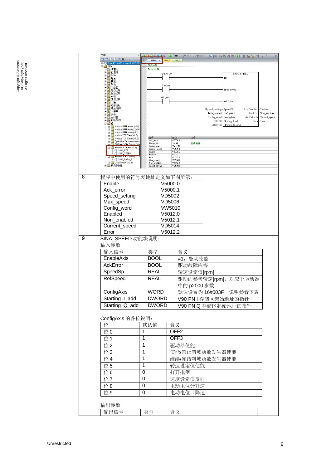|   | 主要<br>п.                                                                |                              |                              | ♪●必じ◆上传・↓下载・「協通入・牧園除・ 短隔 □台目白目目目も惜 です^→ →       |                                          |  |
|---|-------------------------------------------------------------------------|------------------------------|------------------------------|-------------------------------------------------|------------------------------------------|--|
|   | ◎ 皿 ■ ■ ■ 豆 早                                                           | MAIN X                       | SBR_0<br>INT_0               |                                                 |                                          |  |
|   | El-43 SpeedControl (CAUsersASIMOTION<br>白 回 指令                          | 【相応再開                        |                              |                                                 |                                          |  |
|   | 图收藏夹<br>由 - 位逻辑                                                         | 程序段注释<br>$\mathbf{1}$        |                              |                                                 |                                          |  |
|   | 电图时钟                                                                    | Always_On                    |                              | SINA_SPEED<br>EN                                |                                          |  |
|   | 由 列通信<br>田 】比较                                                          |                              |                              |                                                 |                                          |  |
|   | 由 转换<br>田 山 计数器                                                         | Enable                       |                              | EnableAxis                                      |                                          |  |
|   | 田 田 浮点运算<br>由 1 整数运算                                                    |                              |                              |                                                 |                                          |  |
|   | 由 中断<br>中 國 逻辑运算                                                        | Ack_error                    |                              |                                                 |                                          |  |
|   | 田 国 传送<br>电 社 程序控制                                                      |                              |                              | AckError                                        |                                          |  |
|   | 由 四移位/循环<br>由 图 字符串                                                     |                              |                              | Speed_setting SpeedSp<br>AxisEnabled Enabled    |                                          |  |
|   | 田 画 表格                                                                  |                              |                              | Max_speed-RefSpeed                              | Lockout-Non_enabled                      |  |
|   | 由 @ 定时器<br><b>E-O PROFINET</b>                                          |                              |                              | Config_word ConfigAxis<br>&IB128-Starting_I_add | ActVelocity Current_speed<br>Error-Error |  |
|   | 白國库<br>El- Modbus RTU Master (v2.0)                                     |                              |                              | &QB128-Starting_Q_add                           |                                          |  |
|   | EI-[1] Modbus RTU Master2 (v2.0)<br><b>E-M</b> Modbus RTU Slave (v3.1)  |                              |                              |                                                 |                                          |  |
|   | El-Cl Modbus TCP Client (v1.0)<br>Hi-Hill Modbus TCP Server [v1.0]      | 符号                           | 地址                           | 注释                                              |                                          |  |
|   | Ei-B Open User Communication (<br><b>ELET PN Read Write Record (v1)</b> | Ack_error<br>Always_On       | V5000.1<br>SM0.0             | 始终接通                                            |                                          |  |
|   | EI-BI SINAMICS Control (v1.1)<br>SINA_POS                               | Config_word<br>Current_speed | VW5010<br>VD5014             |                                                 |                                          |  |
|   | SINA_SPEED<br>organization in contract price                            | Enable<br>Enabled            | V5000.0<br>V5012.0           |                                                 |                                          |  |
|   | SINA_PARA_S                                                             | Error<br>Max_speed           | V5012.2<br>VD5006            |                                                 |                                          |  |
|   | <b>B-B</b> USS Protocol (v2.1)<br>由 调用子例程                               | Non_enabled<br>Speed_setting | V5012.1<br>VD5002            |                                                 |                                          |  |
|   |                                                                         |                              |                              |                                                 |                                          |  |
| 8 | 程序中使用的符号表地址定义如下图所示:                                                     |                              |                              |                                                 |                                          |  |
|   | Enable                                                                  |                              | $\overline{\text{V}}$ 5000.0 |                                                 |                                          |  |
|   | Ack_error                                                               |                              | V5000.1                      |                                                 |                                          |  |
|   | Speed setting                                                           |                              | <b>VD5002</b>                |                                                 |                                          |  |
|   |                                                                         |                              |                              |                                                 |                                          |  |
|   | Max_speed                                                               |                              | <b>VD5006</b>                |                                                 |                                          |  |
|   | Config_word                                                             |                              | VW5010                       |                                                 |                                          |  |
|   | Enabled                                                                 |                              | V5012.0                      |                                                 |                                          |  |
|   | Non enabled                                                             |                              | V5012.1                      |                                                 |                                          |  |
|   | Current_speed                                                           | VD5014                       |                              |                                                 |                                          |  |
|   | Error                                                                   |                              | V5012.2                      |                                                 |                                          |  |
| 9 | SINA_SPEED 功能块说明:                                                       |                              |                              |                                                 |                                          |  |
|   | 输入参数:                                                                   |                              |                              |                                                 |                                          |  |
|   | 输入信号                                                                    | 类型                           | 含义                           |                                                 |                                          |  |
|   | EnableAxis                                                              | <b>BOOL</b>                  |                              | =1,驱动使能                                         |                                          |  |
|   | AckError                                                                | <b>BOOL</b>                  |                              |                                                 |                                          |  |
|   |                                                                         |                              |                              | 驱动故障应答                                          |                                          |  |
|   | SpeedSp                                                                 | <b>REAL</b>                  |                              | 转速设定值[rpm]                                      |                                          |  |
|   | RefSpeed                                                                | REAL                         |                              | 驱动的参考转速[rpm], 对应于驱动器                            |                                          |  |
|   |                                                                         |                              |                              | 中的 p2000 参数                                     |                                          |  |
|   | ConfigAxis                                                              | <b>WORD</b>                  |                              | 默认设置为 16#003F, 说明参看下表                           |                                          |  |
|   | Starting I add                                                          | <b>DWORD</b>                 |                              | V90 PN I 存储区起始地址的指针                             |                                          |  |
|   | Starting_Q_add                                                          | <b>DWORD</b>                 |                              |                                                 |                                          |  |
|   |                                                                         |                              |                              | V90 PN Q 存储区起始地址的指针                             |                                          |  |
|   |                                                                         |                              |                              |                                                 |                                          |  |
|   | ConfigAxis 的各位说明:                                                       |                              |                              |                                                 |                                          |  |
|   | 位                                                                       | 默认值                          | 含义                           |                                                 |                                          |  |
|   | 位0                                                                      | 1                            | OFF <sub>2</sub>             |                                                 |                                          |  |
|   | 位1                                                                      | 1                            | OFF <sub>3</sub>             |                                                 |                                          |  |
|   | 位2                                                                      | $\overline{1}$               | 驱动器使能                        |                                                 |                                          |  |
|   |                                                                         |                              |                              |                                                 |                                          |  |
|   | 位3                                                                      | $\overline{1}$               |                              | 使能/禁止斜坡函数发生器使能                                  |                                          |  |
|   | 位4                                                                      | $\overline{1}$               |                              | 继续/冻结斜坡函数发生器使能                                  |                                          |  |
|   | 位5                                                                      | $\overline{1}$               | 转速设定值使能                      |                                                 |                                          |  |
|   | 位6                                                                      | 0                            | 打开抱闸                         |                                                 |                                          |  |
|   | 位7                                                                      | 0                            | 速度设定值反向                      |                                                 |                                          |  |
|   |                                                                         |                              |                              |                                                 |                                          |  |
|   | 位8                                                                      | 0                            | 电动电位计升速                      |                                                 |                                          |  |
|   | 位9                                                                      | 0                            | 电动电位计降速                      |                                                 |                                          |  |
|   |                                                                         |                              |                              |                                                 |                                          |  |
|   |                                                                         |                              |                              |                                                 |                                          |  |
|   | 输出参数:                                                                   |                              |                              |                                                 |                                          |  |
|   | 输出信号                                                                    | 类型                           | 含义                           |                                                 |                                          |  |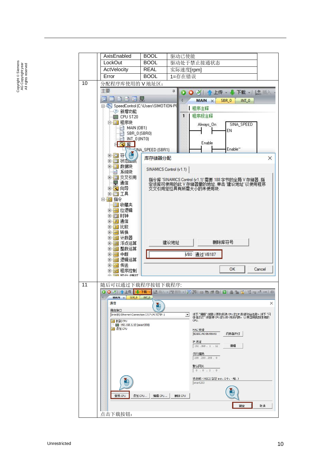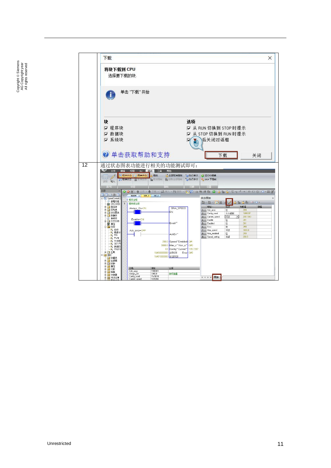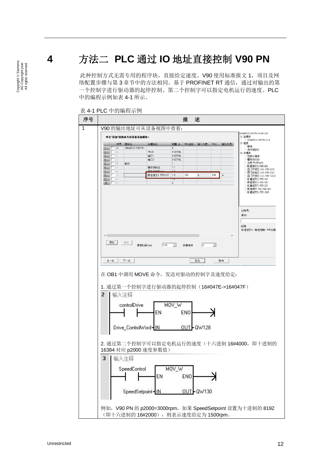## **4** 方法二 **PLC** 通过 **IO** 地址直接控制 **V90 PN**

<span id="page-11-0"></span>此种控制方式无需专用的程序块,直接给定速度。V90 使用标准报文 1, 项目及网 络配置步骤与第 3 章节中的方法相同。基于 PROFINET RT 通信,通过对输出的第 一个控制字进行驱动器的起停控制、第二个控制字可以指定电机运行的速度。PLC 中的编程示例如表 4-1 所示。



表 4-1 PLC 中的编程示例

Copyright © Siemens<br>AG Copyright year<br>All rights reserved Copyright ã Siemens AG Copyright year All rights reserved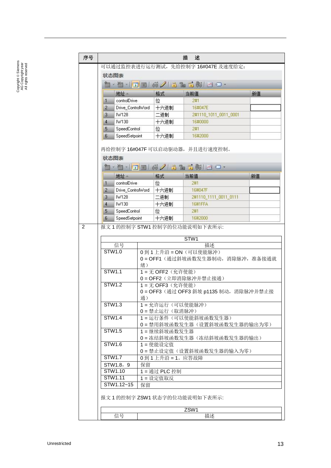| 序号                             |                                              | 描<br>述                                     |                                            |                                     |                                 |    |  |  |
|--------------------------------|----------------------------------------------|--------------------------------------------|--------------------------------------------|-------------------------------------|---------------------------------|----|--|--|
|                                |                                              | 可以通过监控表进行运行测试,先给控制字 16#047E 及速度给定:         |                                            |                                     |                                 |    |  |  |
|                                | 状态图表                                         |                                            |                                            |                                     |                                 |    |  |  |
|                                | <b>・ 白 -   コ -   6 /   3 2 3 4 5 4 5 0 -</b> |                                            |                                            |                                     |                                 |    |  |  |
|                                |                                              |                                            |                                            |                                     |                                 |    |  |  |
|                                |                                              | 地址                                         |                                            | 格式                                  | 当前值                             | 新值 |  |  |
|                                | 1                                            | controlDrive                               |                                            | 位                                   | 2#1                             |    |  |  |
|                                | $\overline{2}$                               | Drive_ControlWord                          |                                            | 十六进制                                | 16#047E                         |    |  |  |
|                                | 3                                            | IW128                                      |                                            | 二进制                                 | 2#1110_1011_0011_0001           |    |  |  |
|                                | $\overline{4}$                               | IW130                                      |                                            | 十六进制                                | 16#0000                         |    |  |  |
|                                | 5                                            | SpeedControl                               |                                            | 位                                   | 2#1                             |    |  |  |
|                                | 6                                            | SpeedSetpoint                              |                                            | 十六进制                                | 16#2000                         |    |  |  |
|                                |                                              |                                            |                                            |                                     | 再给控制字 16#047F 可以启动驱动器,并且进行速度控制。 |    |  |  |
|                                | 状态图表                                         |                                            |                                            |                                     |                                 |    |  |  |
|                                |                                              | <b>- 匈 -   コ -   6 /   3 2 3 4   2 0 -</b> |                                            |                                     |                                 |    |  |  |
|                                |                                              | 地址                                         |                                            | 格式                                  | 当前值                             | 新值 |  |  |
|                                | 1                                            | controlDrive                               |                                            | 位                                   | 2#1                             |    |  |  |
|                                | 2                                            | Drive_ControlWord                          |                                            | 十六进制                                | 16#047F                         |    |  |  |
|                                | 3                                            | IW128                                      |                                            | 二进制                                 | 2#1110_1111_0011_0111           |    |  |  |
|                                | 4                                            | IW130                                      |                                            | 十六进制                                | <b>16#1FFA</b>                  |    |  |  |
|                                | 5                                            | SpeedControl                               |                                            | 位                                   | 2#1                             |    |  |  |
|                                | 6                                            | SpeedSetpoint                              |                                            | 十六进制                                | 16#2000                         |    |  |  |
| $\overline{2}$                 | 报文 1 的控制字 STW1 控制字的位功能说明如下表所示:               |                                            |                                            |                                     |                                 |    |  |  |
|                                |                                              |                                            |                                            |                                     |                                 |    |  |  |
|                                |                                              |                                            |                                            |                                     | STW1                            |    |  |  |
|                                |                                              | 信号<br><b>STW1.0</b>                        |                                            |                                     | 描述<br>0到1上升沿=ON (可以使能脉冲)        |    |  |  |
|                                |                                              |                                            |                                            |                                     |                                 |    |  |  |
|                                |                                              |                                            | O = OFF1 (通过斜坡函数发生器制动, 消除脉冲, 准备接通就<br>绪)   |                                     |                                 |    |  |  |
|                                | <b>STW1.1</b>                                |                                            | 1 = 无 OFF2 (允许使能)                          |                                     |                                 |    |  |  |
|                                |                                              |                                            | 0=OFF2 (立即消除脉冲并禁止接通)                       |                                     |                                 |    |  |  |
|                                | <b>STW1.2</b>                                |                                            | 1 = 无 OFF3 (允许使能)                          |                                     |                                 |    |  |  |
|                                |                                              |                                            | 0 = OFF3 (通过 OFF3 斜坡 p1135 制动, 消除脉冲并禁止接    |                                     |                                 |    |  |  |
|                                |                                              |                                            | 通)                                         |                                     |                                 |    |  |  |
|                                | STW1.3                                       |                                            | 1=允许运行 (可以使能脉冲)                            |                                     |                                 |    |  |  |
|                                |                                              |                                            |                                            | 0=禁止运行(取消脉冲)<br>1=运行条件(可以使能斜坡函数发生器) |                                 |    |  |  |
| <b>STW1.4</b>                  |                                              |                                            |                                            |                                     |                                 |    |  |  |
|                                | <b>STW1.5</b>                                |                                            | 0=禁用斜坡函数发生器(设置斜坡函数发生器的输出为零)<br>1=继续斜坡函数发生器 |                                     |                                 |    |  |  |
|                                |                                              |                                            | 0=冻结斜坡函数发生器(冻结斜坡函数发生器的输出)                  |                                     |                                 |    |  |  |
| STW1.6<br>1 = 使能设定值            |                                              |                                            |                                            |                                     |                                 |    |  |  |
|                                | 0=禁止设定值(设置斜坡函数发生器的输入为零)                      |                                            |                                            |                                     |                                 |    |  |  |
| <b>STW1.7</b><br>0到1上升沿=1。应答故障 |                                              |                                            |                                            |                                     |                                 |    |  |  |
|                                |                                              | STW1.8, 9                                  | 保留                                         |                                     |                                 |    |  |  |
|                                |                                              | STW1.10                                    | 1 = 通过 PLC 控制                              |                                     |                                 |    |  |  |
|                                |                                              | STW1.11                                    | 1=设定值取反                                    |                                     |                                 |    |  |  |
|                                |                                              | STW1.12~15                                 | 保留                                         |                                     |                                 |    |  |  |
|                                | 报文 1 的控制字 ZSW1 状态字的位功能说明如下表所示:               |                                            |                                            |                                     |                                 |    |  |  |
|                                | ZSW1                                         |                                            |                                            |                                     |                                 |    |  |  |
|                                | 信号<br>描述                                     |                                            |                                            |                                     |                                 |    |  |  |